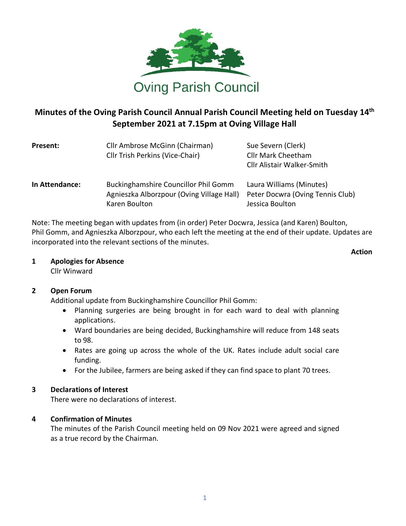

# **Minutes of the Oving Parish Council Annual Parish Council Meeting held on Tuesday 14 th September 2021 at 7.15pm at Oving Village Hall**

| Present:       | Cllr Ambrose McGinn (Chairman)<br>Cllr Trish Perkins (Vice-Chair)                                         | Sue Severn (Clerk)<br>Cllr Mark Cheetham<br><b>Cllr Alistair Walker-Smith</b>   |
|----------------|-----------------------------------------------------------------------------------------------------------|---------------------------------------------------------------------------------|
| In Attendance: | <b>Buckinghamshire Councillor Phil Gomm</b><br>Agnieszka Alborzpour (Oving Village Hall)<br>Karen Boulton | Laura Williams (Minutes)<br>Peter Docwra (Oving Tennis Club)<br>Jessica Boulton |

Note: The meeting began with updates from (in order) Peter Docwra, Jessica (and Karen) Boulton, Phil Gomm, and Agnieszka Alborzpour, who each left the meeting at the end of their update. Updates are incorporated into the relevant sections of the minutes.

**Action**

## **1 Apologies for Absence**

Cllr Winward

## **2 Open Forum**

Additional update from Buckinghamshire Councillor Phil Gomm:

- Planning surgeries are being brought in for each ward to deal with planning applications.
- Ward boundaries are being decided, Buckinghamshire will reduce from 148 seats to 98.
- Rates are going up across the whole of the UK. Rates include adult social care funding.
- For the Jubilee, farmers are being asked if they can find space to plant 70 trees.

## **3 Declarations of Interest**

There were no declarations of interest.

## **4 Confirmation of Minutes**

The minutes of the Parish Council meeting held on 09 Nov 2021 were agreed and signed as a true record by the Chairman.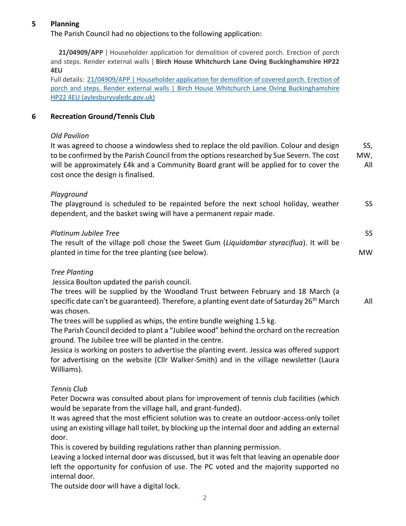## **5 Planning**

The Parish Council had no objections to the following application:

 **21/04909/APP** | Householder application for demolition of covered porch. Erection of porch and steps. Render external walls | **Birch House Whitchurch Lane Oving Buckinghamshire HP22 4EU**

Full details: 21/04909/APP | Householder application for demolition of covered porch. Erection of porch and steps. Render external walls | Birch House Whitchurch Lane Oving Buckinghamshire [HP22 4EU \(aylesburyvaledc.gov.uk\)](https://publicaccess.aylesburyvaledc.gov.uk/online-applications/applicationDetails.do?activeTab=summary&keyVal=R4NVM4CLKO300&prevPage=inTray)

#### **6 Recreation Ground/Tennis Club**

#### *Old Pavilion*

It was agreed to choose a windowless shed to replace the old pavilion. Colour and design to be confirmed by the Parish Council from the options researched by Sue Severn. The cost will be approximately £4k and a Community Board grant will be applied for to cover the cost once the design is finalised. SS, MW, All

#### *Playground*

The playground is scheduled to be repainted before the next school holiday, weather dependent, and the basket swing will have a permanent repair made. SS

| Platinum Jubilee Tree                                                                    |    |
|------------------------------------------------------------------------------------------|----|
| The result of the village poll chose the Sweet Gum (Liquidambar styraciflua). It will be |    |
| planted in time for the tree planting (see below).                                       | MW |

#### *Tree Planting*

Jessica Boulton updated the parish council.

The trees will be supplied by the Woodland Trust between February and 18 March (a specific date can't be guaranteed). Therefore, a planting event date of Saturday  $26<sup>th</sup>$  March was chosen. All

The trees will be supplied as whips, the entire bundle weighing 1.5 kg.

The Parish Council decided to plant a "Jubilee wood" behind the orchard on the recreation ground. The Jubilee tree will be planted in the centre.

Jessica is working on posters to advertise the planting event. Jessica was offered support for advertising on the website (Cllr Walker-Smith) and in the village newsletter (Laura Williams).

#### *Tennis Club*

Peter Docwra was consulted about plans for improvement of tennis club facilities (which would be separate from the village hall, and grant-funded).

It was agreed that the most efficient solution was to create an outdoor-access-only toilet using an existing village hall toilet, by blocking up the internal door and adding an external door.

This is covered by building regulations rather than planning permission.

Leaving a locked internal door was discussed, but it was felt that leaving an openable door left the opportunity for confusion of use. The PC voted and the majority supported no internal door.

The outside door will have a digital lock.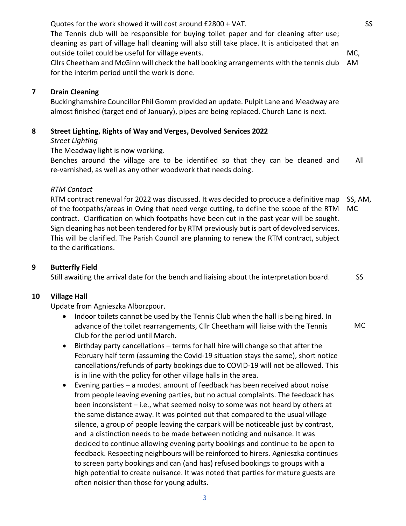SS

MC,

Quotes for the work showed it will cost around £2800 + VAT. The Tennis club will be responsible for buying toilet paper and for cleaning after use; cleaning as part of village hall cleaning will also still take place. It is anticipated that an outside toilet could be useful for village events.

Cllrs Cheetham and McGinn will check the hall booking arrangements with the tennis club for the interim period until the work is done. AM

#### **7 Drain Cleaning**

Buckinghamshire Councillor Phil Gomm provided an update. Pulpit Lane and Meadway are almost finished (target end of January), pipes are being replaced. Church Lane is next.

## **8 Street Lighting, Rights of Way and Verges, Devolved Services 2022**

*Street Lighting*

The Meadway light is now working.

Benches around the village are to be identified so that they can be cleaned and re-varnished, as well as any other woodwork that needs doing. All

## *RTM Contact*

RTM contract renewal for 2022 was discussed. It was decided to produce a definitive map of the footpaths/areas in Oving that need verge cutting, to define the scope of the RTM contract. Clarification on which footpaths have been cut in the past year will be sought. Sign cleaning has not been tendered for by RTM previously but is part of devolved services. This will be clarified. The Parish Council are planning to renew the RTM contract, subject to the clarifications. SS, AM, MC

## **9 Butterfly Field**

Still awaiting the arrival date for the bench and liaising about the interpretation board. SS

## **10 Village Hall**

Update from Agnieszka Alborzpour.

- Indoor toilets cannot be used by the Tennis Club when the hall is being hired. In advance of the toilet rearrangements, Cllr Cheetham will liaise with the Tennis Club for the period until March. MC
- Birthday party cancellations terms for hall hire will change so that after the February half term (assuming the Covid-19 situation stays the same), short notice cancellations/refunds of party bookings due to COVID-19 will not be allowed. This is in line with the policy for other village halls in the area.
- Evening parties a modest amount of feedback has been received about noise from people leaving evening parties, but no actual complaints. The feedback has been inconsistent – i.e., what seemed noisy to some was not heard by others at the same distance away. It was pointed out that compared to the usual village silence, a group of people leaving the carpark will be noticeable just by contrast, and a distinction needs to be made between noticing and nuisance. It was decided to continue allowing evening party bookings and continue to be open to feedback. Respecting neighbours will be reinforced to hirers. Agnieszka continues to screen party bookings and can (and has) refused bookings to groups with a high potential to create nuisance. It was noted that parties for mature guests are often noisier than those for young adults.